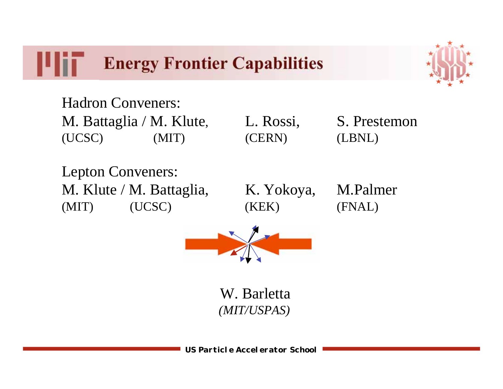IU H **Energy Frontier Capabilities**



Hadron Conveners: M. Battaglia / M. Klute, L. Rossi, S. Prestemon (UCSC) (MIT) (CERN) (LBNL)

Lepton Conveners: M. Klute / M. Battaglia, K. Yokoya, M. Palmer (MIT) (UCSC) (KEK) (FNAL)



W. Barletta  *(MIT/USPAS)*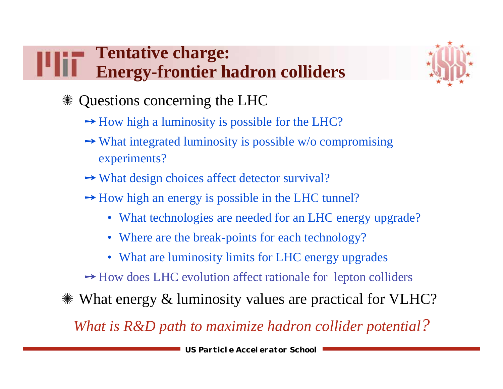# **Tentative charge: Energy-frontier hadron colliders**



- Questions concerning the LHC
	- How high a luminosity is possible for the LHC?
	- What integrated luminosity is possible w/o compromising experiments?
	- What design choices affect detector survival?
	- How high an energy is possible in the LHC tunnel?
		- What technologies are needed for an LHC energy upgrade?
		- Where are the break-points for each technology?
		- What are luminosity limits for LHC energy upgrades
	- How does LHC evolution affect rationale for lepton colliders
- What energy & luminosity values are practical for VLHC?

*What is R&D path to maximize hadron collider potential?*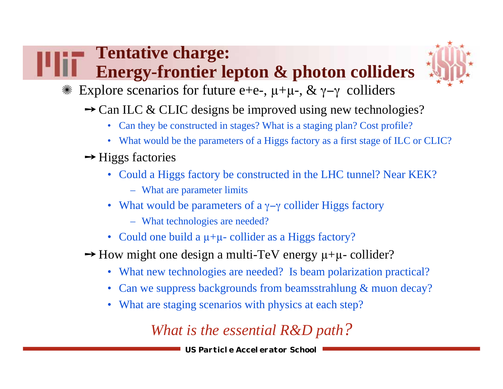# **Tentative charge: Energy-frontier lepton & photon colliders**



 $*$  Explore scenarios for future e+e-, μ+μ-, & γ-γ colliders

- → Can ILC & CLIC designs be improved using new technologies?
	- Can they be constructed in stages? What is a staging plan? Cost profile?
	- What would be the parameters of a Higgs factory as a first stage of ILC or CLIC?

#### → Higgs factories

- Could a Higgs factory be constructed in the LHC tunnel? Near KEK?
	- What are parameter limits
- What would be parameters of a  $\gamma-\gamma$  collider Higgs factory
	- What technologies are needed?
- Could one build a  $\mu+\mu$  collider as a Higgs factory?
- $\rightarrow$  How might one design a multi-TeV energy  $\mu+\mu$  collider?
	- What new technologies are needed? Is beam polarization practical?
	- Can we suppress backgrounds from beamsstrahlung & muon decay?
	- What are staging scenarios with physics at each step?

## *What is the essential R&D path?*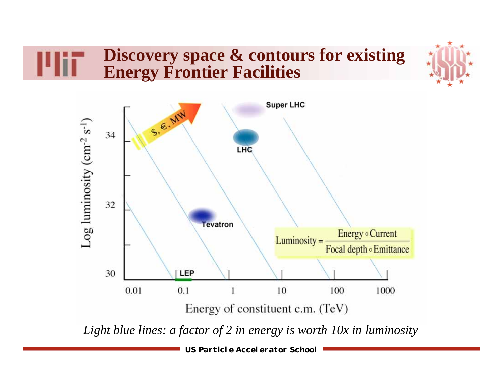### **Discovery space & contours for existing Energy Frontier Facilities**





**US Particle Accelerator School**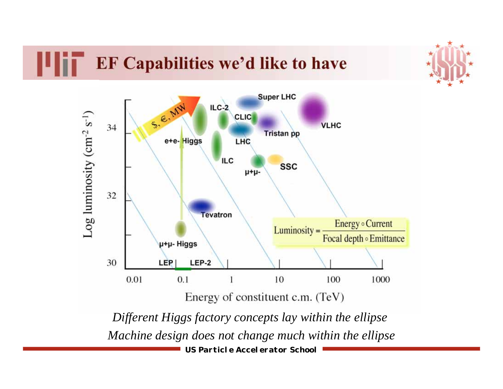# **EF Capabilities we'd like to have**



**US Particle Accelerator School**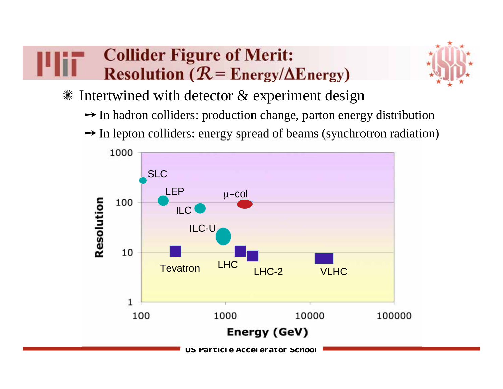# **Collider Figure of Merit: Resolution** ( $\mathcal{R}$  **= Energy/** $\Delta$ **Energy)**



 $*$  Intertwined with detector  $&$  experiment design

- In hadron colliders: production change, parton energy distribution
- In lepton colliders: energy spread of beams (synchrotron radiation)

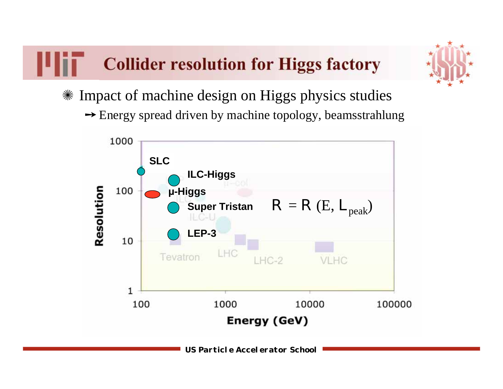# **Collider resolution for Higgs factory**



- Impact of machine design on Higgs physics studies
	- Energy spread driven by machine topology, beamsstrahlung

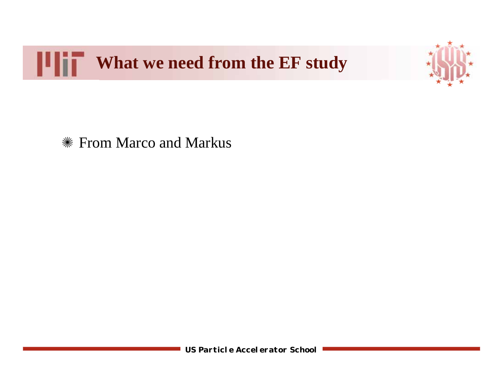



From Marco and Markus

**US Particle Accelerator School**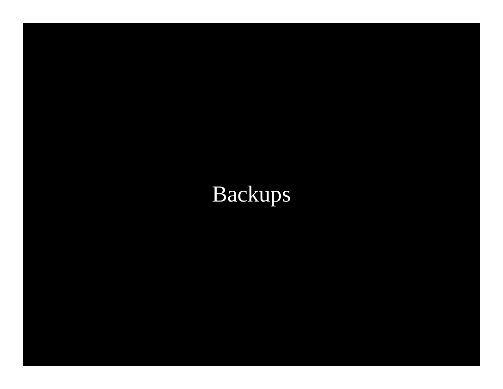# Backups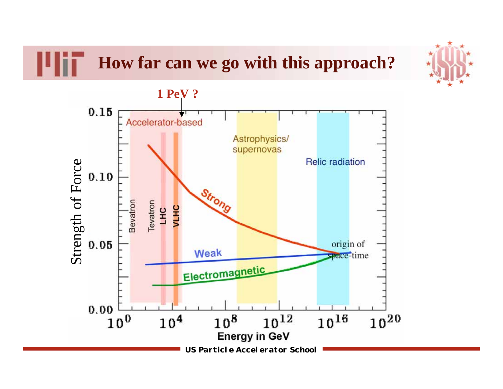**How far can we go with this approach?**



**US Particle Accelerator School**